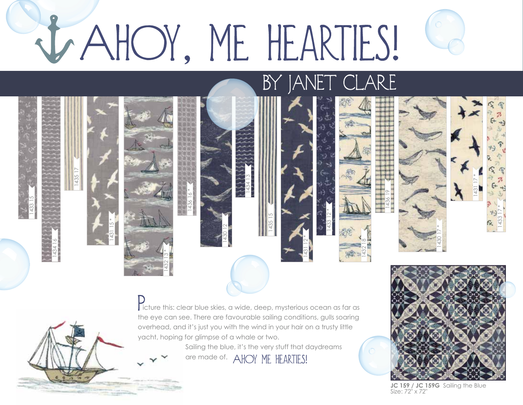## JAHOY, ME HEARTIES!

1430 12

1433 15

1434 16

1435 17

1431 15 \*

1432 13 \*

1436 16 \*

BY JANET CLARE

icture this: clear blue skies, a wide, deep, mysterious ocean as far as the eye can see. There are favourable sailing conditions, gulls soaring overhead, and it's just you with the wind in your hair on a trusty little yacht, hoping for glimpse of a whale or two.

1434 13

1435 15

1431 12 \*

Sailing the blue, it's the very stuff that daydreams

are made of. AHOY ME HEARTIES!



**JC 159 / JC 159G** Sailing the Blue Size: 72" x 72"